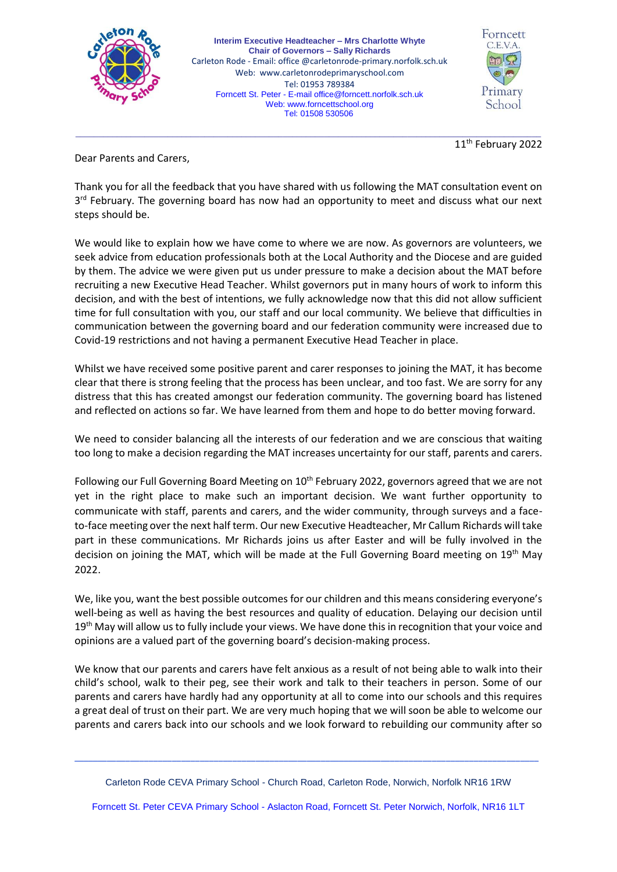

**Interim Executive Headteacher – Mrs Charlotte Whyte Chair of Governors – Sally Richards** Carleton Rode - Email: office @carletonrode-primary.norfolk.sch.uk Web: [www.carletonrodeprimaryschool.com](http://www.carletonrodeprimaryschool.com/) Tel: 01953 789384 Forncett St. Peter - E-mail [office@forncett.norfolk.sch.uk](mailto:office@forncett.norfolk.sch.uk)  Web: [www.forncettschool.org](http://www.forncettschool.org/) Tel: 01508 530506



11<sup>th</sup> February 2022

Dear Parents and Carers,

Thank you for all the feedback that you have shared with us following the MAT consultation event on 3<sup>rd</sup> February. The governing board has now had an opportunity to meet and discuss what our next steps should be.

\_\_\_\_\_\_\_\_\_\_\_\_\_\_\_\_\_\_\_\_\_\_\_\_\_\_\_\_\_\_\_\_\_\_\_\_\_\_\_\_\_\_\_\_\_\_\_\_\_\_\_\_\_\_\_\_\_\_\_\_\_\_\_\_\_\_\_\_\_\_\_\_\_\_\_\_\_\_\_\_\_\_\_\_\_\_\_\_\_\_\_\_\_\_\_\_\_\_\_\_\_

We would like to explain how we have come to where we are now. As governors are volunteers, we seek advice from education professionals both at the Local Authority and the Diocese and are guided by them. The advice we were given put us under pressure to make a decision about the MAT before recruiting a new Executive Head Teacher. Whilst governors put in many hours of work to inform this decision, and with the best of intentions, we fully acknowledge now that this did not allow sufficient time for full consultation with you, our staff and our local community. We believe that difficulties in communication between the governing board and our federation community were increased due to Covid-19 restrictions and not having a permanent Executive Head Teacher in place.

Whilst we have received some positive parent and carer responses to joining the MAT, it has become clear that there is strong feeling that the process has been unclear, and too fast. We are sorry for any distress that this has created amongst our federation community. The governing board has listened and reflected on actions so far. We have learned from them and hope to do better moving forward.

We need to consider balancing all the interests of our federation and we are conscious that waiting too long to make a decision regarding the MAT increases uncertainty for our staff, parents and carers.

Following our Full Governing Board Meeting on 10<sup>th</sup> February 2022, governors agreed that we are not yet in the right place to make such an important decision. We want further opportunity to communicate with staff, parents and carers, and the wider community, through surveys and a faceto-face meeting over the next half term. Our new Executive Headteacher, Mr Callum Richards will take part in these communications. Mr Richards joins us after Easter and will be fully involved in the decision on joining the MAT, which will be made at the Full Governing Board meeting on 19<sup>th</sup> May 2022.

We, like you, want the best possible outcomes for our children and this means considering everyone's well-being as well as having the best resources and quality of education. Delaying our decision until 19<sup>th</sup> May will allow us to fully include your views. We have done this in recognition that your voice and opinions are a valued part of the governing board's decision-making process.

We know that our parents and carers have felt anxious as a result of not being able to walk into their child's school, walk to their peg, see their work and talk to their teachers in person. Some of our parents and carers have hardly had any opportunity at all to come into our schools and this requires a great deal of trust on their part. We are very much hoping that we will soon be able to welcome our parents and carers back into our schools and we look forward to rebuilding our community after so

Carleton Rode CEVA Primary School - Church Road, Carleton Rode, Norwich, Norfolk NR16 1RW

\_\_\_\_\_\_\_\_\_\_\_\_\_\_\_\_\_\_\_\_\_\_\_\_\_\_\_\_\_\_\_\_\_\_\_\_\_\_\_\_\_\_\_\_\_\_\_\_\_\_\_\_\_\_\_\_\_\_\_\_\_\_\_\_\_\_\_\_\_\_\_\_\_\_\_\_\_\_\_\_\_\_\_\_\_\_\_\_\_\_\_\_\_\_\_\_\_\_\_\_

Forncett St. Peter CEVA Primary School - Aslacton Road, Forncett St. Peter Norwich, Norfolk, NR16 1LT